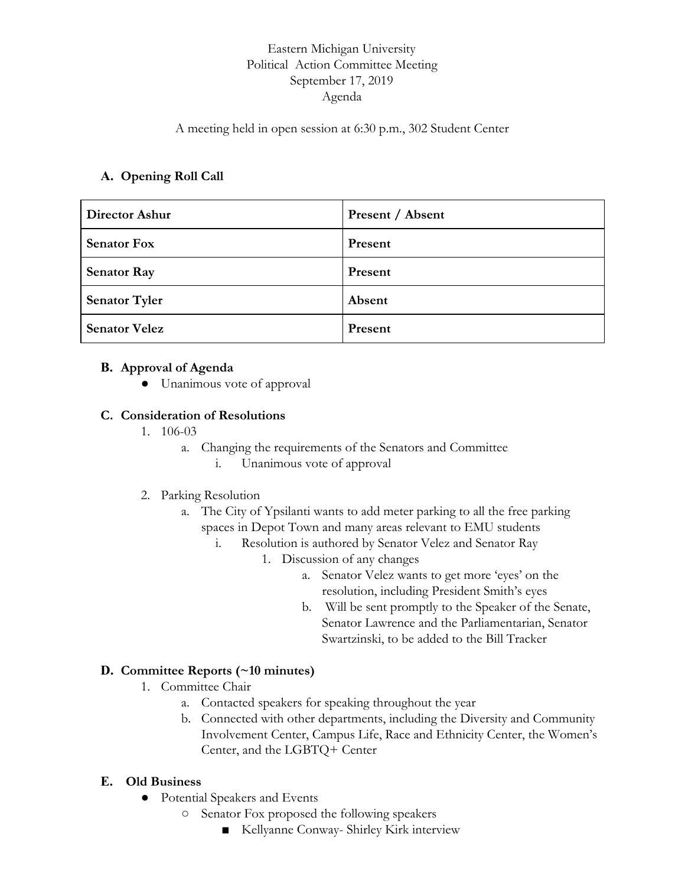# Eastern Michigan University Political Action Committee Meeting September 17, 2019 Agenda

### A meeting held in open session at 6:30 p.m., 302 Student Center

## **A. Opening Roll Call**

| <b>Director Ashur</b> | Present / Absent |
|-----------------------|------------------|
| <b>Senator Fox</b>    | Present          |
| <b>Senator Ray</b>    | Present          |
| <b>Senator Tyler</b>  | Absent           |
| <b>Senator Velez</b>  | Present          |

### **B. Approval of Agenda**

● Unanimous vote of approval

### **C. Consideration of Resolutions**

- 1. 106-03
	- a. Changing the requirements of the Senators and Committee
		- i. Unanimous vote of approval
- 2. Parking Resolution
	- a. The City of Ypsilanti wants to add meter parking to all the free parking spaces in Depot Town and many areas relevant to EMU students
		- i. Resolution is authored by Senator Velez and Senator Ray
			- 1. Discussion of any changes
				- a. Senator Velez wants to get more 'eyes' on the resolution, including President Smith's eyes
				- b. Will be sent promptly to the Speaker of the Senate, Senator Lawrence and the Parliamentarian, Senator Swartzinski, to be added to the Bill Tracker

## **D. Committee Reports (~10 minutes)**

- 1. Committee Chair
	- a. Contacted speakers for speaking throughout the year
	- b. Connected with other departments, including the Diversity and Community Involvement Center, Campus Life, Race and Ethnicity Center, the Women's Center, and the LGBTQ+ Center

## **E. Old Business**

- Potential Speakers and Events
	- Senator Fox proposed the following speakers
		- Kellyanne Conway- Shirley Kirk interview